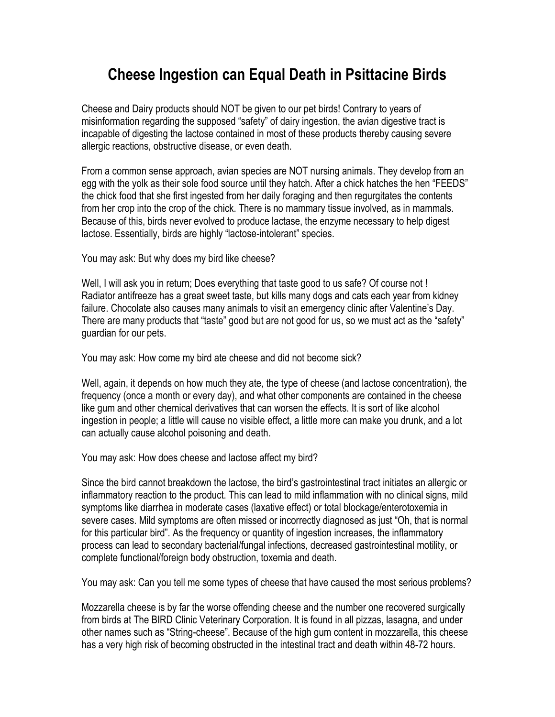## **Cheese Ingestion can Equal Death in Psittacine Birds**

Cheese and Dairy products should NOT be given to our pet birds! Contrary to years of misinformation regarding the supposed "safety" of dairy ingestion, the avian digestive tract is incapable of digesting the lactose contained in most of these products thereby causing severe allergic reactions, obstructive disease, or even death.

From a common sense approach, avian species are NOT nursing animals. They develop from an egg with the yolk as their sole food source until they hatch. After a chick hatches the hen "FEEDS" the chick food that she first ingested from her daily foraging and then regurgitates the contents from her crop into the crop of the chick. There is no mammary tissue involved, as in mammals. Because of this, birds never evolved to produce lactase, the enzyme necessary to help digest lactose. Essentially, birds are highly "lactose-intolerant" species.

You may ask: But why does my bird like cheese?

Well, I will ask you in return; Does everything that taste good to us safe? Of course not ! Radiator antifreeze has a great sweet taste, but kills many dogs and cats each year from kidney failure. Chocolate also causes many animals to visit an emergency clinic after Valentine's Day. There are many products that "taste" good but are not good for us, so we must act as the "safety" guardian for our pets.

You may ask: How come my bird ate cheese and did not become sick?

Well, again, it depends on how much they ate, the type of cheese (and lactose concentration), the frequency (once a month or every day), and what other components are contained in the cheese like gum and other chemical derivatives that can worsen the effects. It is sort of like alcohol ingestion in people; a little will cause no visible effect, a little more can make you drunk, and a lot can actually cause alcohol poisoning and death.

You may ask: How does cheese and lactose affect my bird?

Since the bird cannot breakdown the lactose, the bird's gastrointestinal tract initiates an allergic or inflammatory reaction to the product. This can lead to mild inflammation with no clinical signs, mild symptoms like diarrhea in moderate cases (laxative effect) or total blockage/enterotoxemia in severe cases. Mild symptoms are often missed or incorrectly diagnosed as just "Oh, that is normal for this particular bird". As the frequency or quantity of ingestion increases, the inflammatory process can lead to secondary bacterial/fungal infections, decreased gastrointestinal motility, or complete functional/foreign body obstruction, toxemia and death.

You may ask: Can you tell me some types of cheese that have caused the most serious problems?

Mozzarella cheese is by far the worse offending cheese and the number one recovered surgically from birds at The BIRD Clinic Veterinary Corporation. It is found in all pizzas, lasagna, and under other names such as "String-cheese". Because of the high gum content in mozzarella, this cheese has a very high risk of becoming obstructed in the intestinal tract and death within 48-72 hours.